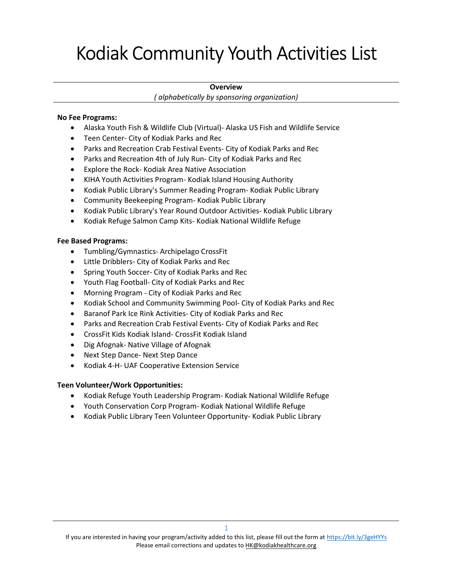# Kodiak Community Youth Activities List

## **Overview**

( alphabetically by sponsoring organization)

## No Fee Programs:

- Alaska Youth Fish & Wildlife Club (Virtual)- Alaska US Fish and Wildlife Service
- Teen Center- City of Kodiak Parks and Rec
- Parks and Recreation Crab Festival Events- City of Kodiak Parks and Rec
- Parks and Recreation 4th of July Run- City of Kodiak Parks and Rec
- Explore the Rock- Kodiak Area Native Association
- KIHA Youth Activities Program- Kodiak Island Housing Authority
- Kodiak Public Library's Summer Reading Program- Kodiak Public Library
- Community Beekeeping Program- Kodiak Public Library
- Kodiak Public Library's Year Round Outdoor Activities- Kodiak Public Library
- Kodiak Refuge Salmon Camp Kits- Kodiak National Wildlife Refuge

## Fee Based Programs:

- Tumbling/Gymnastics- Archipelago CrossFit
- Little Dribblers- City of Kodiak Parks and Rec
- Spring Youth Soccer- City of Kodiak Parks and Rec
- Youth Flag Football- City of Kodiak Parks and Rec
- Morning Program City of Kodiak Parks and Rec
- Kodiak School and Community Swimming Pool- City of Kodiak Parks and Rec
- **Baranof Park Ice Rink Activities- City of Kodiak Parks and Rec**
- Parks and Recreation Crab Festival Events- City of Kodiak Parks and Rec
- CrossFit Kids Kodiak Island- CrossFit Kodiak Island
- Dig Afognak- Native Village of Afognak
- Next Step Dance- Next Step Dance
- Kodiak 4-H- UAF Cooperative Extension Service

## Teen Volunteer/Work Opportunities:

- Kodiak Refuge Youth Leadership Program- Kodiak National Wildlife Refuge
- Youth Conservation Corp Program- Kodiak National Wildlife Refuge
- Kodiak Public Library Teen Volunteer Opportunity- Kodiak Public Library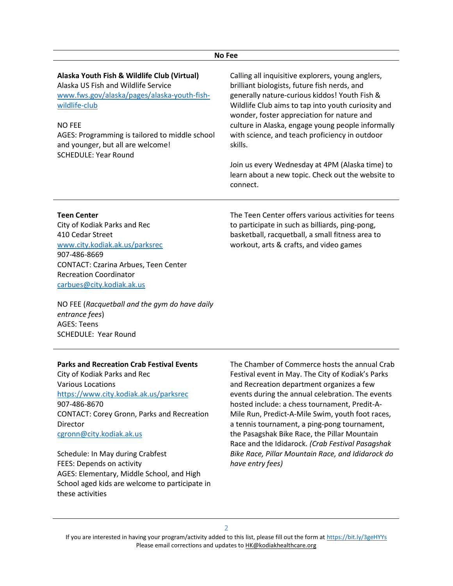#### No Fee

| Alaska Youth Fish & Wildlife Club (Virtual)<br>Alaska US Fish and Wildlife Service<br>www.fws.gov/alaska/pages/alaska-youth-fish-<br>wildlife-club<br><b>NO FEE</b><br>AGES: Programming is tailored to middle school<br>and younger, but all are welcome!<br><b>SCHEDULE: Year Round</b> | Calling all inquisitive explorers, young anglers,<br>brilliant biologists, future fish nerds, and<br>generally nature-curious kiddos! Youth Fish &<br>Wildlife Club aims to tap into youth curiosity and<br>wonder, foster appreciation for nature and<br>culture in Alaska, engage young people informally<br>with science, and teach proficiency in outdoor<br>skills. |
|-------------------------------------------------------------------------------------------------------------------------------------------------------------------------------------------------------------------------------------------------------------------------------------------|--------------------------------------------------------------------------------------------------------------------------------------------------------------------------------------------------------------------------------------------------------------------------------------------------------------------------------------------------------------------------|
|                                                                                                                                                                                                                                                                                           | Join us every Wednesday at 4PM (Alaska time) to<br>learn about a new topic. Check out the website to<br>connect.                                                                                                                                                                                                                                                         |
| <b>Teen Center</b>                                                                                                                                                                                                                                                                        | The Teen Center offers various activities for teens                                                                                                                                                                                                                                                                                                                      |

City of Kodiak Parks and Rec 410 Cedar Street www.city.kodiak.ak.us/parksrec 907-486-8669 CONTACT: Czarina Arbues, Teen Center Recreation Coordinator carbues@city.kodiak.ak.us

The Teen Center offers various activities for teens to participate in such as billiards, ping-pong, basketball, racquetball, a small fitness area to workout, arts & crafts, and video games

NO FEE (Racquetball and the gym do have daily entrance fees) AGES: Teens SCHEDULE: Year Round

#### Parks and Recreation Crab Festival Events

City of Kodiak Parks and Rec Various Locations https://www.city.kodiak.ak.us/parksrec 907-486-8670 CONTACT: Corey Gronn, Parks and Recreation **Director** cgronn@city.kodiak.ak.us

Schedule: In May during Crabfest FEES: Depends on activity AGES: Elementary, Middle School, and High School aged kids are welcome to participate in these activities

The Chamber of Commerce hosts the annual Crab Festival event in May. The City of Kodiak's Parks and Recreation department organizes a few events during the annual celebration. The events hosted include: a chess tournament, Predit-A-Mile Run, Predict-A-Mile Swim, youth foot races, a tennis tournament, a ping-pong tournament, the Pasagshak Bike Race, the Pillar Mountain Race and the Ididarock. (Crab Festival Pasagshak Bike Race, Pillar Mountain Race, and Ididarock do have entry fees)

 $\overline{2}$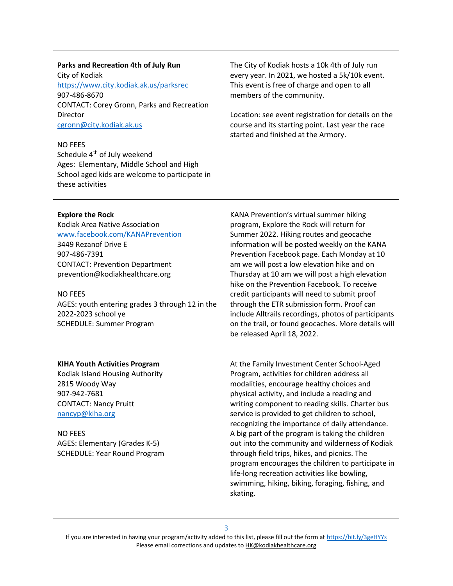### Parks and Recreation 4th of July Run

City of Kodiak https://www.city.kodiak.ak.us/parksrec 907-486-8670 CONTACT: Corey Gronn, Parks and Recreation **Director** cgronn@city.kodiak.ak.us

#### NO FEES

Schedule 4<sup>th</sup> of July weekend Ages: Elementary, Middle School and High School aged kids are welcome to participate in these activities

The City of Kodiak hosts a 10k 4th of July run every year. In 2021, we hosted a 5k/10k event. This event is free of charge and open to all members of the community.

Location: see event registration for details on the course and its starting point. Last year the race started and finished at the Armory.

## Explore the Rock

Kodiak Area Native Association www.facebook.com/KANAPrevention 3449 Rezanof Drive E 907-486-7391 CONTACT: Prevention Department prevention@kodiakhealthcare.org

## NO FEES

AGES: youth entering grades 3 through 12 in the 2022-2023 school ye SCHEDULE: Summer Program

KANA Prevention's virtual summer hiking program, Explore the Rock will return for Summer 2022. Hiking routes and geocache information will be posted weekly on the KANA Prevention Facebook page. Each Monday at 10 am we will post a low elevation hike and on Thursday at 10 am we will post a high elevation hike on the Prevention Facebook. To receive credit participants will need to submit proof through the ETR submission form. Proof can include Alltrails recordings, photos of participants on the trail, or found geocaches. More details will be released April 18, 2022.

## KIHA Youth Activities Program

Kodiak Island Housing Authority 2815 Woody Way 907-942-7681 CONTACT: Nancy Pruitt nancyp@kiha.org

NO FEES AGES: Elementary (Grades K-5) SCHEDULE: Year Round Program At the Family Investment Center School-Aged Program, activities for children address all modalities, encourage healthy choices and physical activity, and include a reading and writing component to reading skills. Charter bus service is provided to get children to school, recognizing the importance of daily attendance. A big part of the program is taking the children out into the community and wilderness of Kodiak through field trips, hikes, and picnics. The program encourages the children to participate in life-long recreation activities like bowling, swimming, hiking, biking, foraging, fishing, and skating.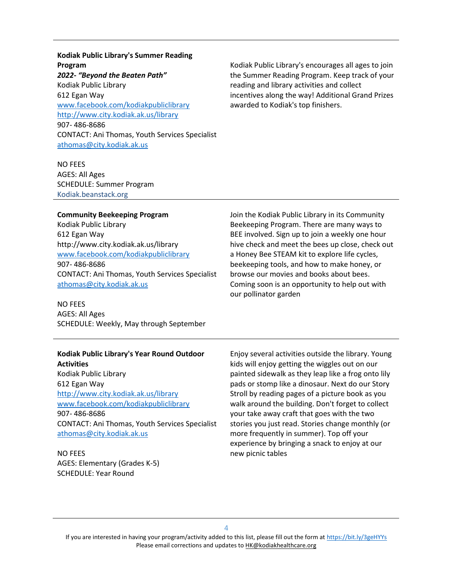Kodiak Public Library's Summer Reading Program 2022- "Beyond the Beaten Path" Kodiak Public Library 612 Egan Way www.facebook.com/kodiakpubliclibrary http://www.city.kodiak.ak.us/library 907- 486-8686 CONTACT: Ani Thomas, Youth Services Specialist athomas@city.kodiak.ak.us

Kodiak Public Library's encourages all ages to join the Summer Reading Program. Keep track of your reading and library activities and collect incentives along the way! Additional Grand Prizes awarded to Kodiak's top finishers.

NO FEES AGES: All Ages SCHEDULE: Summer Program Kodiak.beanstack.org

#### Community Beekeeping Program

Kodiak Public Library 612 Egan Way http://www.city.kodiak.ak.us/library www.facebook.com/kodiakpubliclibrary 907- 486-8686 CONTACT: Ani Thomas, Youth Services Specialist athomas@city.kodiak.ak.us

NO FEES AGES: All Ages SCHEDULE: Weekly, May through September

#### Kodiak Public Library's Year Round Outdoor **Activities**

Kodiak Public Library 612 Egan Way http://www.city.kodiak.ak.us/library www.facebook.com/kodiakpubliclibrary 907- 486-8686 CONTACT: Ani Thomas, Youth Services Specialist athomas@city.kodiak.ak.us

NO FEES AGES: Elementary (Grades K-5) SCHEDULE: Year Round

Join the Kodiak Public Library in its Community Beekeeping Program. There are many ways to BEE involved. Sign up to join a weekly one hour hive check and meet the bees up close, check out a Honey Bee STEAM kit to explore life cycles, beekeeping tools, and how to make honey, or browse our movies and books about bees. Coming soon is an opportunity to help out with our pollinator garden

Enjoy several activities outside the library. Young kids will enjoy getting the wiggles out on our painted sidewalk as they leap like a frog onto lily pads or stomp like a dinosaur. Next do our Story Stroll by reading pages of a picture book as you walk around the building. Don't forget to collect your take away craft that goes with the two stories you just read. Stories change monthly (or more frequently in summer). Top off your experience by bringing a snack to enjoy at our new picnic tables

4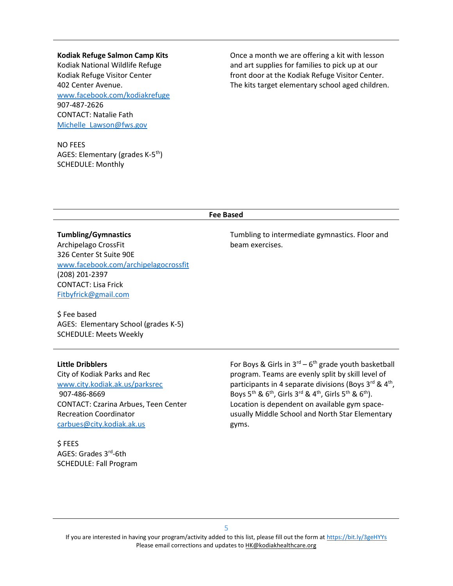Kodiak Refuge Salmon Camp Kits Kodiak National Wildlife Refuge Kodiak Refuge Visitor Center 402 Center Avenue. www.facebook.com/kodiakrefuge 907-487-2626 CONTACT: Natalie Fath Michelle\_Lawson@fws.gov

NO FEES AGES: Elementary (grades K-5th) SCHEDULE: Monthly

Once a month we are offering a kit with lesson and art supplies for families to pick up at our front door at the Kodiak Refuge Visitor Center. The kits target elementary school aged children.

#### Fee Based

Tumbling/Gymnastics Archipelago CrossFit 326 Center St Suite 90E www.facebook.com/archipelagocrossfit (208) 201-2397 CONTACT: Lisa Frick Fitbyfrick@gmail.com

\$ Fee based AGES: Elementary School (grades K-5) SCHEDULE: Meets Weekly

Little Dribblers

City of Kodiak Parks and Rec www.city.kodiak.ak.us/parksrec 907-486-8669 CONTACT: Czarina Arbues, Teen Center Recreation Coordinator carbues@city.kodiak.ak.us

\$ FEES AGES: Grades 3rd-6th SCHEDULE: Fall Program Tumbling to intermediate gymnastics. Floor and beam exercises.

For Boys & Girls in  $3^{rd}$  – 6<sup>th</sup> grade youth basketball program. Teams are evenly split by skill level of participants in 4 separate divisions (Boys  $3^{\text{rd}}$  &  $4^{\text{th}}$ , Boys 5<sup>th</sup> & 6<sup>th</sup>, Girls 3<sup>rd</sup> & 4<sup>th</sup>, Girls 5<sup>th</sup> & 6<sup>th</sup>). Location is dependent on available gym spaceusually Middle School and North Star Elementary gyms.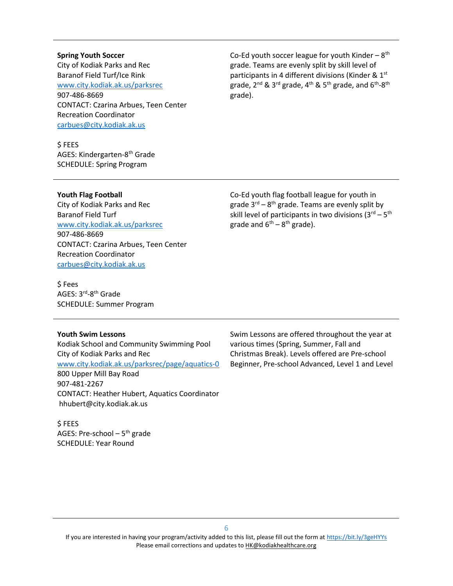## Spring Youth Soccer City of Kodiak Parks and Rec Baranof Field Turf/Ice Rink www.city.kodiak.ak.us/parksrec 907-486-8669 CONTACT: Czarina Arbues, Teen Center Recreation Coordinator carbues@city.kodiak.ak.us

\$ FEES AGES: Kindergarten-8<sup>th</sup> Grade SCHEDULE: Spring Program

Co-Ed youth soccer league for youth Kinder –  $8<sup>th</sup>$ grade. Teams are evenly split by skill level of participants in 4 different divisions (Kinder & 1st) grade,  $2^{nd}$  &  $3^{rd}$  grade,  $4^{th}$  &  $5^{th}$  grade, and  $6^{th}$ - $8^{th}$ grade).

Youth Flag Football

City of Kodiak Parks and Rec Baranof Field Turf www.city.kodiak.ak.us/parksrec 907-486-8669 CONTACT: Czarina Arbues, Teen Center Recreation Coordinator carbues@city.kodiak.ak.us

Co-Ed youth flag football league for youth in grade  $3^{rd} - 8^{th}$  grade. Teams are evenly split by skill level of participants in two divisions  $(3^{rd} - 5^{th}$ grade and  $6^{th} - 8^{th}$  grade).

\$ Fees AGES: 3rd-8th Grade SCHEDULE: Summer Program

## Youth Swim Lessons

Kodiak School and Community Swimming Pool City of Kodiak Parks and Rec www.city.kodiak.ak.us/parksrec/page/aquatics-0 800 Upper Mill Bay Road 907-481-2267 CONTACT: Heather Hubert, Aquatics Coordinator hhubert@city.kodiak.ak.us

\$ FEES AGES: Pre-school  $-5<sup>th</sup>$  grade SCHEDULE: Year Round

Swim Lessons are offered throughout the year at various times (Spring, Summer, Fall and Christmas Break). Levels offered are Pre-school Beginner, Pre-school Advanced, Level 1 and Level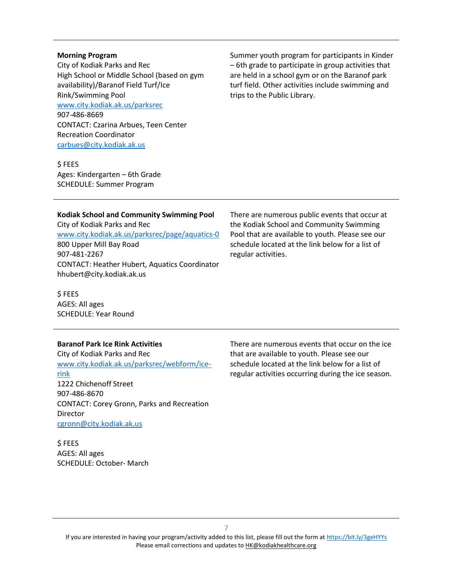## Morning Program

City of Kodiak Parks and Rec High School or Middle School (based on gym availability)/Baranof Field Turf/Ice Rink/Swimming Pool www.city.kodiak.ak.us/parksrec 907-486-8669 CONTACT: Czarina Arbues, Teen Center Recreation Coordinator carbues@city.kodiak.ak.us

Kodiak School and Community Swimming Pool

www.city.kodiak.ak.us/parksrec/page/aquatics-0

CONTACT: Heather Hubert, Aquatics Coordinator

\$ FEES Ages: Kindergarten – 6th Grade SCHEDULE: Summer Program

City of Kodiak Parks and Rec

800 Upper Mill Bay Road

hhubert@city.kodiak.ak.us

907-481-2267

Summer youth program for participants in Kinder – 6th grade to participate in group activities that are held in a school gym or on the Baranof park turf field. Other activities include swimming and trips to the Public Library.

There are numerous public events that occur at the Kodiak School and Community Swimming Pool that are available to youth. Please see our schedule located at the link below for a list of regular activities.

\$ FEES AGES: All ages SCHEDULE: Year Round

## Baranof Park Ice Rink Activities

City of Kodiak Parks and Rec www.city.kodiak.ak.us/parksrec/webform/icerink 1222 Chichenoff Street 907-486-8670 CONTACT: Corey Gronn, Parks and Recreation Director cgronn@city.kodiak.ak.us

\$ FEES AGES: All ages SCHEDULE: October- March There are numerous events that occur on the ice that are available to youth. Please see our schedule located at the link below for a list of regular activities occurring during the ice season.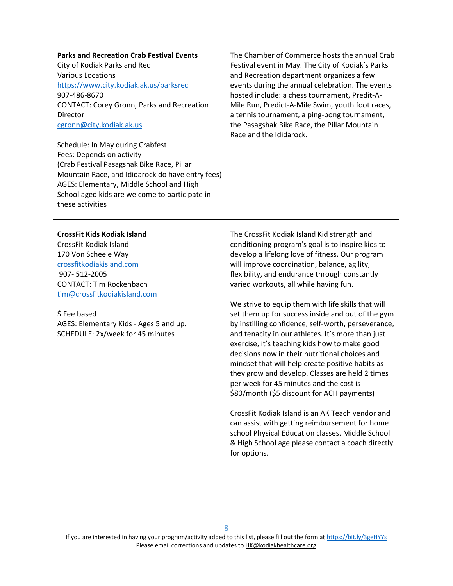Parks and Recreation Crab Festival Events City of Kodiak Parks and Rec Various Locations https://www.city.kodiak.ak.us/parksrec 907-486-8670 CONTACT: Corey Gronn, Parks and Recreation **Director** cgronn@city.kodiak.ak.us

Schedule: In May during Crabfest Fees: Depends on activity (Crab Festival Pasagshak Bike Race, Pillar Mountain Race, and Ididarock do have entry fees) AGES: Elementary, Middle School and High School aged kids are welcome to participate in these activities

The Chamber of Commerce hosts the annual Crab Festival event in May. The City of Kodiak's Parks and Recreation department organizes a few events during the annual celebration. The events hosted include: a chess tournament, Predit-A-Mile Run, Predict-A-Mile Swim, youth foot races, a tennis tournament, a ping-pong tournament, the Pasagshak Bike Race, the Pillar Mountain Race and the Ididarock.

#### CrossFit Kids Kodiak Island

CrossFit Kodiak Island 170 Von Scheele Way crossfitkodiakisland.com 907- 512-2005 CONTACT: Tim Rockenbach tim@crossfitkodiakisland.com

\$ Fee based AGES: Elementary Kids - Ages 5 and up. SCHEDULE: 2x/week for 45 minutes

The CrossFit Kodiak Island Kid strength and conditioning program's goal is to inspire kids to develop a lifelong love of fitness. Our program will improve coordination, balance, agility, flexibility, and endurance through constantly varied workouts, all while having fun.

We strive to equip them with life skills that will set them up for success inside and out of the gym by instilling confidence, self-worth, perseverance, and tenacity in our athletes. It's more than just exercise, it's teaching kids how to make good decisions now in their nutritional choices and mindset that will help create positive habits as they grow and develop. Classes are held 2 times per week for 45 minutes and the cost is \$80/month (\$5 discount for ACH payments)

CrossFit Kodiak Island is an AK Teach vendor and can assist with getting reimbursement for home school Physical Education classes. Middle School & High School age please contact a coach directly for options.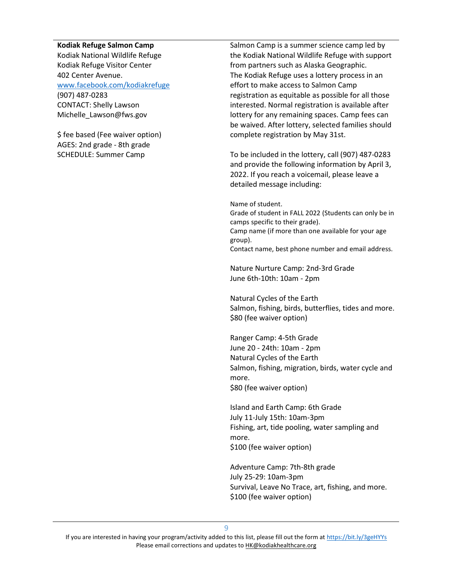#### Kodiak Refuge Salmon Camp

Kodiak National Wildlife Refuge Kodiak Refuge Visitor Center 402 Center Avenue. www.facebook.com/kodiakrefuge (907) 487-0283 CONTACT: Shelly Lawson Michelle\_Lawson@fws.gov

\$ fee based (Fee waiver option) AGES: 2nd grade - 8th grade SCHEDULE: Summer Camp

Salmon Camp is a summer science camp led by the Kodiak National Wildlife Refuge with support from partners such as Alaska Geographic. The Kodiak Refuge uses a lottery process in an effort to make access to Salmon Camp registration as equitable as possible for all those interested. Normal registration is available after lottery for any remaining spaces. Camp fees can be waived. After lottery, selected families should complete registration by May 31st.

To be included in the lottery, call (907) 487-0283 and provide the following information by April 3, 2022. If you reach a voicemail, please leave a detailed message including:

Name of student.

Grade of student in FALL 2022 (Students can only be in camps specific to their grade). Camp name (if more than one available for your age group). Contact name, best phone number and email address.

Nature Nurture Camp: 2nd-3rd Grade June 6th-10th: 10am - 2pm

Natural Cycles of the Earth Salmon, fishing, birds, butterflies, tides and more. \$80 (fee waiver option)

Ranger Camp: 4-5th Grade June 20 - 24th: 10am - 2pm Natural Cycles of the Earth Salmon, fishing, migration, birds, water cycle and more. \$80 (fee waiver option)

Island and Earth Camp: 6th Grade July 11-July 15th: 10am-3pm Fishing, art, tide pooling, water sampling and more. \$100 (fee waiver option)

Adventure Camp: 7th-8th grade July 25-29: 10am-3pm Survival, Leave No Trace, art, fishing, and more. \$100 (fee waiver option)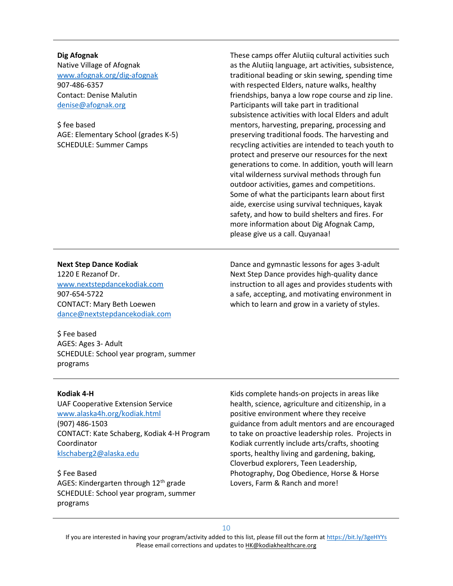Dig Afognak Native Village of Afognak www.afognak.org/dig-afognak 907-486-6357 Contact: Denise Malutin denise@afognak.org

\$ fee based AGE: Elementary School (grades K-5) SCHEDULE: Summer Camps

These camps offer Alutiiq cultural activities such as the Alutiiq language, art activities, subsistence, traditional beading or skin sewing, spending time with respected Elders, nature walks, healthy friendships, banya a low rope course and zip line. Participants will take part in traditional subsistence activities with local Elders and adult mentors, harvesting, preparing, processing and preserving traditional foods. The harvesting and recycling activities are intended to teach youth to protect and preserve our resources for the next generations to come. In addition, youth will learn vital wilderness survival methods through fun outdoor activities, games and competitions. Some of what the participants learn about first aide, exercise using survival techniques, kayak safety, and how to build shelters and fires. For more information about Dig Afognak Camp, please give us a call. Quyanaa!

#### Next Step Dance Kodiak

1220 E Rezanof Dr. www.nextstepdancekodiak.com 907-654-5722 CONTACT: Mary Beth Loewen dance@nextstepdancekodiak.com

Dance and gymnastic lessons for ages 3-adult Next Step Dance provides high-quality dance instruction to all ages and provides students with a safe, accepting, and motivating environment in which to learn and grow in a variety of styles.

\$ Fee based AGES: Ages 3- Adult SCHEDULE: School year program, summer programs

#### Kodiak 4-H

UAF Cooperative Extension Service www.alaska4h.org/kodiak.html (907) 486-1503 CONTACT: Kate Schaberg, Kodiak 4-H Program Coordinator klschaberg2@alaska.edu

\$ Fee Based AGES: Kindergarten through 12<sup>th</sup> grade SCHEDULE: School year program, summer programs

Kids complete hands-on projects in areas like health, science, agriculture and citizenship, in a positive environment where they receive guidance from adult mentors and are encouraged to take on proactive leadership roles. Projects in Kodiak currently include arts/crafts, shooting sports, healthy living and gardening, baking, Cloverbud explorers, Teen Leadership, Photography, Dog Obedience, Horse & Horse Lovers, Farm & Ranch and more!

10